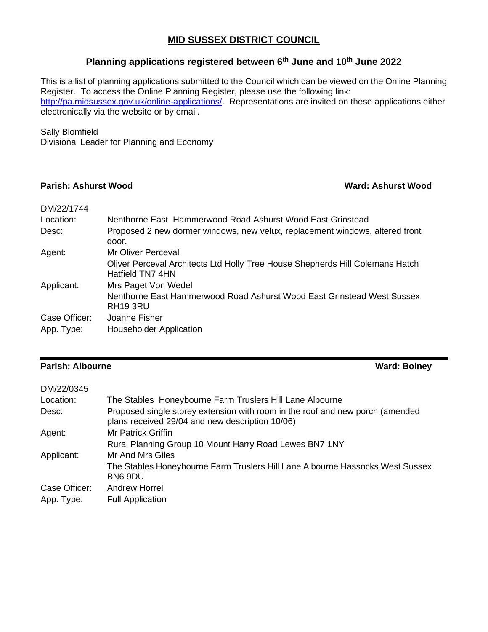### **MID SUSSEX DISTRICT COUNCIL**

## **Planning applications registered between 6th June and 10th June 2022**

This is a list of planning applications submitted to the Council which can be viewed on the Online Planning Register. To access the Online Planning Register, please use the following link: [http://pa.midsussex.gov.uk/online-applications/.](http://pa.midsussex.gov.uk/online-applications/) Representations are invited on these applications either electronically via the website or by email.

### Sally Blomfield

Divisional Leader for Planning and Economy

### **Parish: Ashurst Wood Ward: Ashurst Wood**

| DM/22/1744    |                                                                                                   |
|---------------|---------------------------------------------------------------------------------------------------|
| Location:     | Nenthorne East Hammerwood Road Ashurst Wood East Grinstead                                        |
| Desc:         | Proposed 2 new dormer windows, new velux, replacement windows, altered front<br>door.             |
| Agent:        | Mr Oliver Perceval                                                                                |
|               | Oliver Perceval Architects Ltd Holly Tree House Shepherds Hill Colemans Hatch<br>Hatfield TN7 4HN |
| Applicant:    | Mrs Paget Von Wedel                                                                               |
|               | Nenthorne East Hammerwood Road Ashurst Wood East Grinstead West Sussex<br>RH <sub>19</sub> 3RU    |
| Case Officer: | Joanne Fisher                                                                                     |
| App. Type:    | <b>Householder Application</b>                                                                    |

### **Parish: Albourne Ward: Bolney**

| DM/22/0345    |                                                                                                                                  |
|---------------|----------------------------------------------------------------------------------------------------------------------------------|
| Location:     | The Stables Honeybourne Farm Truslers Hill Lane Albourne                                                                         |
| Desc:         | Proposed single storey extension with room in the roof and new porch (amended<br>plans received 29/04 and new description 10/06) |
| Agent:        | Mr Patrick Griffin                                                                                                               |
|               | Rural Planning Group 10 Mount Harry Road Lewes BN7 1NY                                                                           |
| Applicant:    | Mr And Mrs Giles                                                                                                                 |
|               | The Stables Honeybourne Farm Truslers Hill Lane Albourne Hassocks West Sussex<br>BN6 9DU                                         |
| Case Officer: | <b>Andrew Horrell</b>                                                                                                            |
| App. Type:    | <b>Full Application</b>                                                                                                          |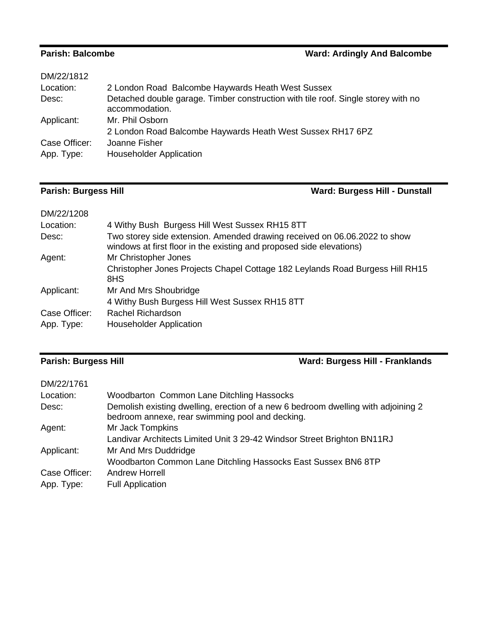## **Parish: Balcombe Ward: Ardingly And Balcombe**

| DM/22/1812    |                                                                                                     |
|---------------|-----------------------------------------------------------------------------------------------------|
| Location:     | 2 London Road Balcombe Haywards Heath West Sussex                                                   |
| Desc:         | Detached double garage. Timber construction with tile roof. Single storey with no<br>accommodation. |
| Applicant:    | Mr. Phil Osborn                                                                                     |
|               | 2 London Road Balcombe Haywards Heath West Sussex RH17 6PZ                                          |
| Case Officer: | Joanne Fisher                                                                                       |
| App. Type:    | <b>Householder Application</b>                                                                      |
|               |                                                                                                     |

## **Parish: Burgess Hill Ward: Burgess Hill - Dunstall**

| DM/22/1208    |                                                                                                                                                   |
|---------------|---------------------------------------------------------------------------------------------------------------------------------------------------|
| Location:     | 4 Withy Bush Burgess Hill West Sussex RH15 8TT                                                                                                    |
| Desc:         | Two storey side extension. Amended drawing received on 06.06.2022 to show<br>windows at first floor in the existing and proposed side elevations) |
| Agent:        | Mr Christopher Jones                                                                                                                              |
|               | Christopher Jones Projects Chapel Cottage 182 Leylands Road Burgess Hill RH15<br>8HS                                                              |
| Applicant:    | Mr And Mrs Shoubridge                                                                                                                             |
|               | 4 Withy Bush Burgess Hill West Sussex RH15 8TT                                                                                                    |
| Case Officer: | Rachel Richardson                                                                                                                                 |
| App. Type:    | <b>Householder Application</b>                                                                                                                    |

## **Parish: Burgess Hill Ward: Burgess Hill - Franklands**

| DM/22/1761    |                                                                                                                                      |
|---------------|--------------------------------------------------------------------------------------------------------------------------------------|
| Location:     | Woodbarton Common Lane Ditchling Hassocks                                                                                            |
| Desc:         | Demolish existing dwelling, erection of a new 6 bedroom dwelling with adjoining 2<br>bedroom annexe, rear swimming pool and decking. |
| Agent:        | Mr Jack Tompkins                                                                                                                     |
|               | Landivar Architects Limited Unit 3 29-42 Windsor Street Brighton BN11RJ                                                              |
| Applicant:    | Mr And Mrs Duddridge                                                                                                                 |
|               | Woodbarton Common Lane Ditchling Hassocks East Sussex BN6 8TP                                                                        |
| Case Officer: | Andrew Horrell                                                                                                                       |
| App. Type:    | <b>Full Application</b>                                                                                                              |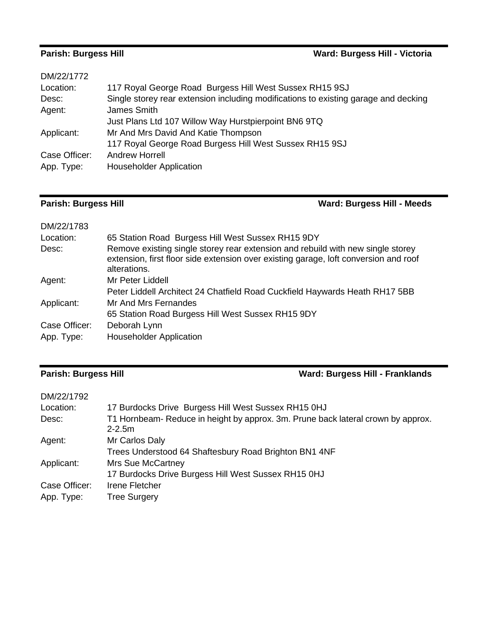# **Parish: Burgess Hill Ward: Burgess Hill - Victoria**

| DM/22/1772    |                                                                                     |
|---------------|-------------------------------------------------------------------------------------|
| Location:     | 117 Royal George Road Burgess Hill West Sussex RH15 9SJ                             |
| Desc:         | Single storey rear extension including modifications to existing garage and decking |
| Agent:        | James Smith                                                                         |
|               | Just Plans Ltd 107 Willow Way Hurstpierpoint BN6 9TQ                                |
| Applicant:    | Mr And Mrs David And Katie Thompson                                                 |
|               | 117 Royal George Road Burgess Hill West Sussex RH15 9SJ                             |
| Case Officer: | Andrew Horrell                                                                      |
| App. Type:    | <b>Householder Application</b>                                                      |
|               |                                                                                     |

## **Parish: Burgess Hill Ward: Burgess Hill - Meeds**

| DM/22/1783    |                                                                                                                                                                                         |
|---------------|-----------------------------------------------------------------------------------------------------------------------------------------------------------------------------------------|
| Location:     | 65 Station Road Burgess Hill West Sussex RH15 9DY                                                                                                                                       |
| Desc:         | Remove existing single storey rear extension and rebuild with new single storey<br>extension, first floor side extension over existing garage, loft conversion and roof<br>alterations. |
| Agent:        | Mr Peter Liddell                                                                                                                                                                        |
|               | Peter Liddell Architect 24 Chatfield Road Cuckfield Haywards Heath RH17 5BB                                                                                                             |
| Applicant:    | Mr And Mrs Fernandes                                                                                                                                                                    |
|               | 65 Station Road Burgess Hill West Sussex RH15 9DY                                                                                                                                       |
| Case Officer: | Deborah Lynn                                                                                                                                                                            |
| App. Type:    | <b>Householder Application</b>                                                                                                                                                          |

## **Parish: Burgess Hill Ward: Burgess Hill - Franklands**

| DM/22/1792    |                                                                                                |
|---------------|------------------------------------------------------------------------------------------------|
| Location:     | 17 Burdocks Drive Burgess Hill West Sussex RH15 0HJ                                            |
| Desc:         | T1 Hornbeam- Reduce in height by approx. 3m. Prune back lateral crown by approx.<br>$2 - 2.5m$ |
| Agent:        | Mr Carlos Daly                                                                                 |
|               | Trees Understood 64 Shaftesbury Road Brighton BN1 4NF                                          |
| Applicant:    | Mrs Sue McCartney                                                                              |
|               | 17 Burdocks Drive Burgess Hill West Sussex RH15 0HJ                                            |
| Case Officer: | Irene Fletcher                                                                                 |
| App. Type:    | <b>Tree Surgery</b>                                                                            |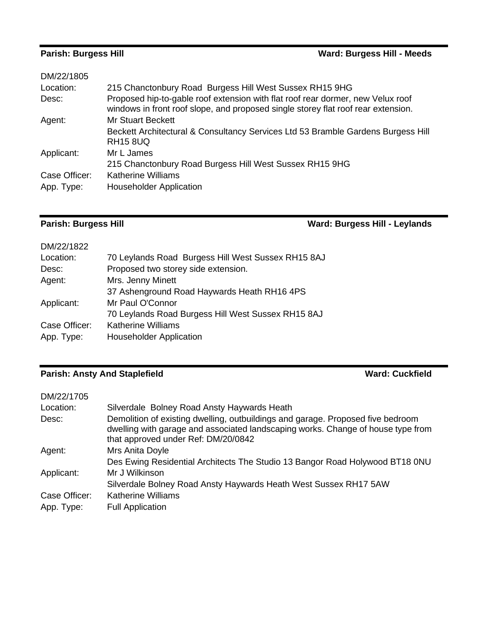# **Parish: Burgess Hill Ward: Burgess Hill - Meeds**

| DM/22/1805    |                                                                                                                                                                      |
|---------------|----------------------------------------------------------------------------------------------------------------------------------------------------------------------|
| Location:     | 215 Chanctonbury Road Burgess Hill West Sussex RH15 9HG                                                                                                              |
| Desc:         | Proposed hip-to-gable roof extension with flat roof rear dormer, new Velux roof<br>windows in front roof slope, and proposed single storey flat roof rear extension. |
| Agent:        | <b>Mr Stuart Beckett</b>                                                                                                                                             |
|               | Beckett Architectural & Consultancy Services Ltd 53 Bramble Gardens Burgess Hill<br><b>RH15 8UQ</b>                                                                  |
| Applicant:    | Mr L James                                                                                                                                                           |
|               | 215 Chanctonbury Road Burgess Hill West Sussex RH15 9HG                                                                                                              |
| Case Officer: | <b>Katherine Williams</b>                                                                                                                                            |
| App. Type:    | <b>Householder Application</b>                                                                                                                                       |

## **Parish: Burgess Hill Ward: Burgess Hill - Leylands**

| DM/22/1822    |                                                    |
|---------------|----------------------------------------------------|
| Location:     | 70 Leylands Road Burgess Hill West Sussex RH15 8AJ |
| Desc:         | Proposed two storey side extension.                |
| Agent:        | Mrs. Jenny Minett                                  |
|               | 37 Ashenground Road Haywards Heath RH16 4PS        |
| Applicant:    | Mr Paul O'Connor                                   |
|               | 70 Leylands Road Burgess Hill West Sussex RH15 8AJ |
| Case Officer: | <b>Katherine Williams</b>                          |
| App. Type:    | <b>Householder Application</b>                     |
|               |                                                    |

# **Parish: Ansty And Staplefield Ward: Cuckfield**

| DM/22/1705    |                                                                                                                                                                                                            |
|---------------|------------------------------------------------------------------------------------------------------------------------------------------------------------------------------------------------------------|
| Location:     | Silverdale Bolney Road Ansty Haywards Heath                                                                                                                                                                |
| Desc:         | Demolition of existing dwelling, outbuildings and garage. Proposed five bedroom<br>dwelling with garage and associated landscaping works. Change of house type from<br>that approved under Ref: DM/20/0842 |
| Agent:        | Mrs Anita Doyle                                                                                                                                                                                            |
|               | Des Ewing Residential Architects The Studio 13 Bangor Road Holywood BT18 0NU                                                                                                                               |
| Applicant:    | Mr J Wilkinson                                                                                                                                                                                             |
|               | Silverdale Bolney Road Ansty Haywards Heath West Sussex RH17 5AW                                                                                                                                           |
| Case Officer: | <b>Katherine Williams</b>                                                                                                                                                                                  |
| App. Type:    | <b>Full Application</b>                                                                                                                                                                                    |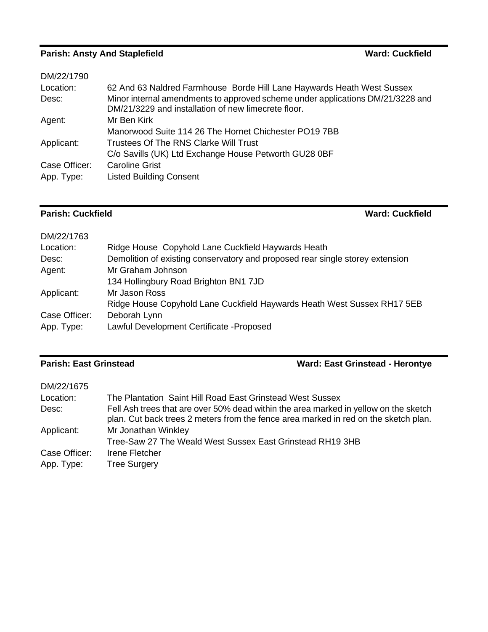# **Parish: Ansty And Staplefield Ward: Cuckfield Ward: Cuckfield**

| DM/22/1790    |                                                                                                                                       |
|---------------|---------------------------------------------------------------------------------------------------------------------------------------|
| Location:     | 62 And 63 Naldred Farmhouse Borde Hill Lane Haywards Heath West Sussex                                                                |
| Desc:         | Minor internal amendments to approved scheme under applications DM/21/3228 and<br>DM/21/3229 and installation of new limecrete floor. |
| Agent:        | Mr Ben Kirk                                                                                                                           |
|               | Manorwood Suite 114 26 The Hornet Chichester PO19 7BB                                                                                 |
| Applicant:    | Trustees Of The RNS Clarke Will Trust                                                                                                 |
|               | C/o Savills (UK) Ltd Exchange House Petworth GU28 0BF                                                                                 |
| Case Officer: | <b>Caroline Grist</b>                                                                                                                 |
| App. Type:    | <b>Listed Building Consent</b>                                                                                                        |

## **Parish: Cuckfield Ward: Cuckfield**

| DM/22/1763    |                                                                               |
|---------------|-------------------------------------------------------------------------------|
| Location:     | Ridge House Copyhold Lane Cuckfield Haywards Heath                            |
| Desc:         | Demolition of existing conservatory and proposed rear single storey extension |
| Agent:        | Mr Graham Johnson                                                             |
|               | 134 Hollingbury Road Brighton BN1 7JD                                         |
| Applicant:    | Mr Jason Ross                                                                 |
|               | Ridge House Copyhold Lane Cuckfield Haywards Heath West Sussex RH17 5EB       |
| Case Officer: | Deborah Lynn                                                                  |
| App. Type:    | Lawful Development Certificate - Proposed                                     |
|               |                                                                               |

## **Parish: East Grinstead Ward: East Grinstead - Herontye**

| DM/22/1675    |                                                                                                                                                                             |
|---------------|-----------------------------------------------------------------------------------------------------------------------------------------------------------------------------|
| Location:     | The Plantation Saint Hill Road East Grinstead West Sussex                                                                                                                   |
| Desc:         | Fell Ash trees that are over 50% dead within the area marked in yellow on the sketch<br>plan. Cut back trees 2 meters from the fence area marked in red on the sketch plan. |
| Applicant:    | Mr Jonathan Winkley                                                                                                                                                         |
|               | Tree-Saw 27 The Weald West Sussex East Grinstead RH19 3HB                                                                                                                   |
| Case Officer: | Irene Fletcher                                                                                                                                                              |
| App. Type:    | <b>Tree Surgery</b>                                                                                                                                                         |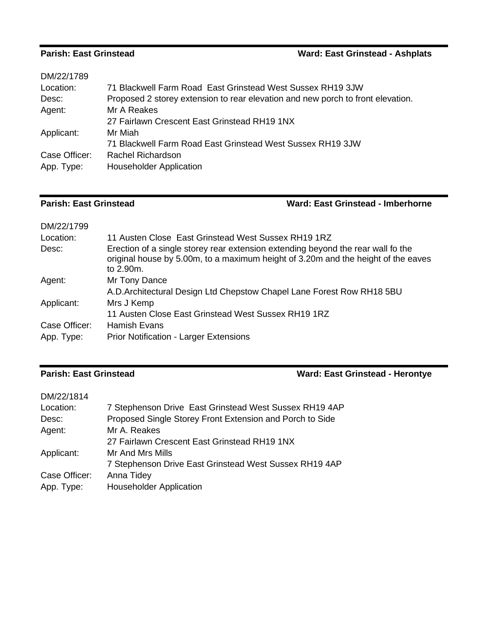## **Parish: East Grinstead Ward: East Grinstead - Ashplats**

| DM/22/1789    |                                                                                 |
|---------------|---------------------------------------------------------------------------------|
| Location:     | 71 Blackwell Farm Road East Grinstead West Sussex RH19 3JW                      |
| Desc:         | Proposed 2 storey extension to rear elevation and new porch to front elevation. |
| Agent:        | Mr A Reakes                                                                     |
|               | 27 Fairlawn Crescent East Grinstead RH19 1NX                                    |
| Applicant:    | Mr Miah                                                                         |
|               | 71 Blackwell Farm Road East Grinstead West Sussex RH19 3JW                      |
| Case Officer: | Rachel Richardson                                                               |
| App. Type:    | <b>Householder Application</b>                                                  |
|               |                                                                                 |

### **Parish: East Grinstead Ward: East Grinstead - Imberhorne**

| DM/22/1799    |                                                                                                                                                                                    |
|---------------|------------------------------------------------------------------------------------------------------------------------------------------------------------------------------------|
| Location:     | 11 Austen Close East Grinstead West Sussex RH19 1RZ                                                                                                                                |
| Desc:         | Erection of a single storey rear extension extending beyond the rear wall fo the<br>original house by 5.00m, to a maximum height of 3.20m and the height of the eaves<br>to 2.90m. |
| Agent:        | Mr Tony Dance                                                                                                                                                                      |
|               | A.D. Architectural Design Ltd Chepstow Chapel Lane Forest Row RH18 5BU                                                                                                             |
| Applicant:    | Mrs J Kemp                                                                                                                                                                         |
|               | 11 Austen Close East Grinstead West Sussex RH19 1RZ                                                                                                                                |
| Case Officer: | <b>Hamish Evans</b>                                                                                                                                                                |
| App. Type:    | <b>Prior Notification - Larger Extensions</b>                                                                                                                                      |

## **Parish: East Grinstead Ward: East Grinstead - Herontye**

| DM/22/1814    |                                                          |
|---------------|----------------------------------------------------------|
| Location:     | 7 Stephenson Drive East Grinstead West Sussex RH19 4AP   |
| Desc:         | Proposed Single Storey Front Extension and Porch to Side |
| Agent:        | Mr A. Reakes                                             |
|               | 27 Fairlawn Crescent East Grinstead RH19 1NX             |
| Applicant:    | Mr And Mrs Mills                                         |
|               | 7 Stephenson Drive East Grinstead West Sussex RH19 4AP   |
| Case Officer: | Anna Tidey                                               |
| App. Type:    | <b>Householder Application</b>                           |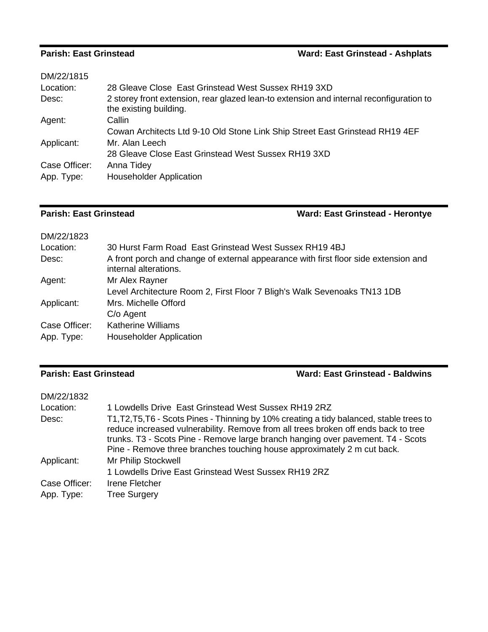### **Parish: East Grinstead -- Ashplats Ward: East Grinstead -- Ashplats**

| Ward: East Grinstead - Ashplats |  |
|---------------------------------|--|
|---------------------------------|--|

| DM/22/1815    |                                                                                                                   |
|---------------|-------------------------------------------------------------------------------------------------------------------|
| Location:     | 28 Gleave Close East Grinstead West Sussex RH19 3XD                                                               |
| Desc:         | 2 storey front extension, rear glazed lean-to extension and internal reconfiguration to<br>the existing building. |
| Agent:        | Callin                                                                                                            |
|               | Cowan Architects Ltd 9-10 Old Stone Link Ship Street East Grinstead RH19 4EF                                      |
| Applicant:    | Mr. Alan Leech                                                                                                    |
|               | 28 Gleave Close East Grinstead West Sussex RH19 3XD                                                               |
| Case Officer: | Anna Tidey                                                                                                        |
| App. Type:    | <b>Householder Application</b>                                                                                    |
|               |                                                                                                                   |

**Parish: East Grinstead Ward: East Grinstead - Herontye**

| DM/22/1823    |                                                                                                              |
|---------------|--------------------------------------------------------------------------------------------------------------|
| Location:     | 30 Hurst Farm Road East Grinstead West Sussex RH19 4BJ                                                       |
| Desc:         | A front porch and change of external appearance with first floor side extension and<br>internal alterations. |
| Agent:        | Mr Alex Rayner                                                                                               |
|               | Level Architecture Room 2, First Floor 7 Bligh's Walk Sevenoaks TN13 1DB                                     |
| Applicant:    | Mrs. Michelle Offord                                                                                         |
|               | C/o Agent                                                                                                    |
| Case Officer: | <b>Katherine Williams</b>                                                                                    |
| App. Type:    | <b>Householder Application</b>                                                                               |

**Parish: East Grinstead Ward: East Grinstead - Baldwins**

| DM/22/1832    |                                                                                                                                                                                                                                                                                                                                              |
|---------------|----------------------------------------------------------------------------------------------------------------------------------------------------------------------------------------------------------------------------------------------------------------------------------------------------------------------------------------------|
| Location:     | 1 Lowdells Drive East Grinstead West Sussex RH19 2RZ                                                                                                                                                                                                                                                                                         |
| Desc:         | T1, T2, T5, T6 - Scots Pines - Thinning by 10% creating a tidy balanced, stable trees to<br>reduce increased vulnerability. Remove from all trees broken off ends back to tree<br>trunks. T3 - Scots Pine - Remove large branch hanging over pavement. T4 - Scots<br>Pine - Remove three branches touching house approximately 2 m cut back. |
| Applicant:    | Mr Philip Stockwell                                                                                                                                                                                                                                                                                                                          |
|               | 1 Lowdells Drive East Grinstead West Sussex RH19 2RZ                                                                                                                                                                                                                                                                                         |
| Case Officer: | Irene Fletcher                                                                                                                                                                                                                                                                                                                               |
| App. Type:    | <b>Tree Surgery</b>                                                                                                                                                                                                                                                                                                                          |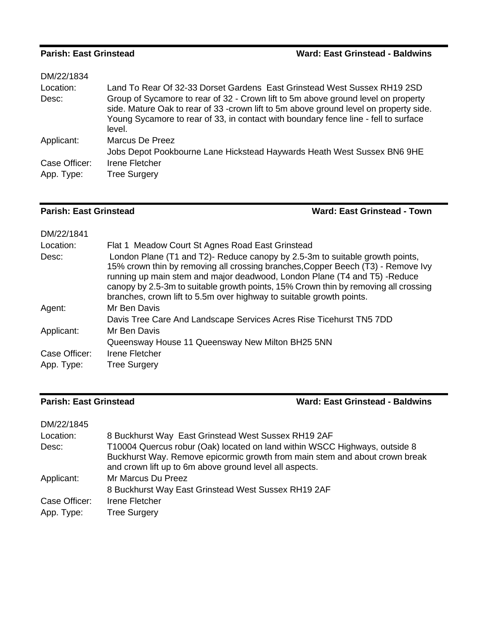### **Parish: East Grinstead**

|  |  | Ward: East Grinstead - Baldwins |  |
|--|--|---------------------------------|--|
|--|--|---------------------------------|--|

| Land To Rear Of 32-33 Dorset Gardens East Grinstead West Sussex RH19 2SD                                                                                                                                                                                                    |
|-----------------------------------------------------------------------------------------------------------------------------------------------------------------------------------------------------------------------------------------------------------------------------|
| Group of Sycamore to rear of 32 - Crown lift to 5m above ground level on property<br>side. Mature Oak to rear of 33 -crown lift to 5m above ground level on property side.<br>Young Sycamore to rear of 33, in contact with boundary fence line - fell to surface<br>level. |
| Marcus De Preez<br>Jobs Depot Pookbourne Lane Hickstead Haywards Heath West Sussex BN6 9HE                                                                                                                                                                                  |
| Irene Fletcher<br><b>Tree Surgery</b>                                                                                                                                                                                                                                       |
|                                                                                                                                                                                                                                                                             |

**Parish: East Grinstead Ward: East Grinstead - Town**

| DM/22/1841    |                                                                                                                                                                                                                                                                                                                                                                                                              |
|---------------|--------------------------------------------------------------------------------------------------------------------------------------------------------------------------------------------------------------------------------------------------------------------------------------------------------------------------------------------------------------------------------------------------------------|
| Location:     | Flat 1 Meadow Court St Agnes Road East Grinstead                                                                                                                                                                                                                                                                                                                                                             |
| Desc:         | London Plane (T1 and T2)- Reduce canopy by 2.5-3m to suitable growth points,<br>15% crown thin by removing all crossing branches, Copper Beech (T3) - Remove Ivy<br>running up main stem and major deadwood, London Plane (T4 and T5) -Reduce<br>canopy by 2.5-3m to suitable growth points, 15% Crown thin by removing all crossing<br>branches, crown lift to 5.5m over highway to suitable growth points. |
| Agent:        | Mr Ben Davis                                                                                                                                                                                                                                                                                                                                                                                                 |
|               | Davis Tree Care And Landscape Services Acres Rise Ticehurst TN5 7DD                                                                                                                                                                                                                                                                                                                                          |
| Applicant:    | Mr Ben Davis                                                                                                                                                                                                                                                                                                                                                                                                 |
|               | Queensway House 11 Queensway New Milton BH25 5NN                                                                                                                                                                                                                                                                                                                                                             |
| Case Officer: | Irene Fletcher                                                                                                                                                                                                                                                                                                                                                                                               |
| App. Type:    | <b>Tree Surgery</b>                                                                                                                                                                                                                                                                                                                                                                                          |

### **Parish: East Grinstead Ward: East Grinstead - Baldwins**

| DM/22/1845    |                                                                                                                                                                                                                      |
|---------------|----------------------------------------------------------------------------------------------------------------------------------------------------------------------------------------------------------------------|
| Location:     | 8 Buckhurst Way East Grinstead West Sussex RH19 2AF                                                                                                                                                                  |
| Desc:         | T10004 Quercus robur (Oak) located on land within WSCC Highways, outside 8<br>Buckhurst Way. Remove epicormic growth from main stem and about crown break<br>and crown lift up to 6m above ground level all aspects. |
| Applicant:    | Mr Marcus Du Preez                                                                                                                                                                                                   |
|               | 8 Buckhurst Way East Grinstead West Sussex RH19 2AF                                                                                                                                                                  |
| Case Officer: | Irene Fletcher                                                                                                                                                                                                       |
| App. Type:    | <b>Tree Surgery</b>                                                                                                                                                                                                  |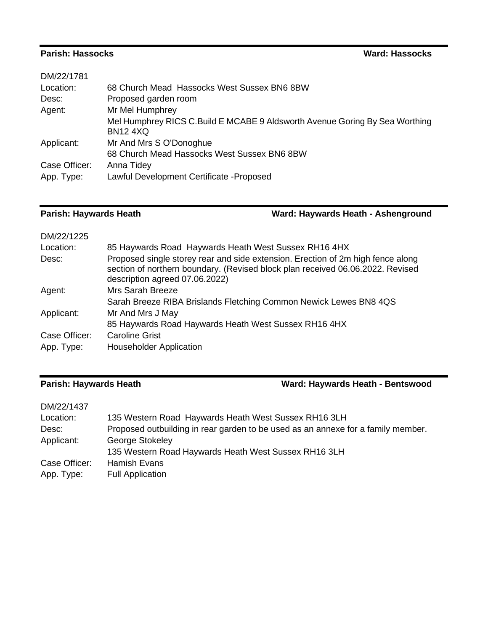## **Parish: Hassocks Ward: Hassocks**

| 68 Church Mead Hassocks West Sussex BN6 8BW                                                     |
|-------------------------------------------------------------------------------------------------|
| Proposed garden room                                                                            |
| Mr Mel Humphrey                                                                                 |
| Mel Humphrey RICS C. Build E MCABE 9 Aldsworth Avenue Goring By Sea Worthing<br><b>BN12 4XQ</b> |
| Mr And Mrs S O'Donoghue                                                                         |
| 68 Church Mead Hassocks West Sussex BN6 8BW                                                     |
| Anna Tidey                                                                                      |
| Lawful Development Certificate - Proposed                                                       |
|                                                                                                 |

**Parish: Haywards Heath Ward: Haywards Heath - Ashenground**

| DM/22/1225    |                                                                                                                                                                                                     |
|---------------|-----------------------------------------------------------------------------------------------------------------------------------------------------------------------------------------------------|
| Location:     | 85 Haywards Road Haywards Heath West Sussex RH16 4HX                                                                                                                                                |
| Desc:         | Proposed single storey rear and side extension. Erection of 2m high fence along<br>section of northern boundary. (Revised block plan received 06.06.2022. Revised<br>description agreed 07.06.2022) |
| Agent:        | Mrs Sarah Breeze                                                                                                                                                                                    |
|               | Sarah Breeze RIBA Brislands Fletching Common Newick Lewes BN8 4QS                                                                                                                                   |
| Applicant:    | Mr And Mrs J May                                                                                                                                                                                    |
|               | 85 Haywards Road Haywards Heath West Sussex RH16 4HX                                                                                                                                                |
| Case Officer: | <b>Caroline Grist</b>                                                                                                                                                                               |
| App. Type:    | <b>Householder Application</b>                                                                                                                                                                      |

## **Parish: Haywards Heath Ward: Haywards Heath - Bentswood**

| DM/22/1437    |                                                                                  |
|---------------|----------------------------------------------------------------------------------|
| Location:     | 135 Western Road Haywards Heath West Sussex RH16 3LH                             |
| Desc:         | Proposed outbuilding in rear garden to be used as an annexe for a family member. |
| Applicant:    | George Stokeley                                                                  |
|               | 135 Western Road Haywards Heath West Sussex RH16 3LH                             |
| Case Officer: | Hamish Evans                                                                     |
| App. Type:    | <b>Full Application</b>                                                          |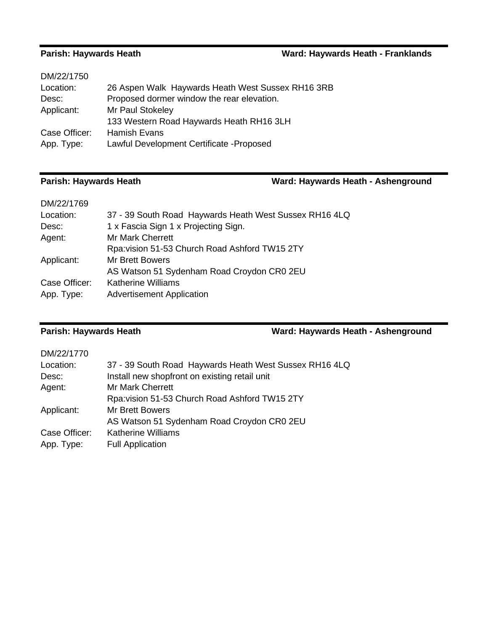## **Parish: Haywards Heath Ward: Haywards Heath - Franklands**

| DM/22/1750    |                                                   |
|---------------|---------------------------------------------------|
| Location:     | 26 Aspen Walk Haywards Heath West Sussex RH16 3RB |
| Desc:         | Proposed dormer window the rear elevation.        |
| Applicant:    | Mr Paul Stokeley                                  |
|               | 133 Western Road Haywards Heath RH16 3LH          |
| Case Officer: | Hamish Evans                                      |
| App. Type:    | Lawful Development Certificate - Proposed         |
|               |                                                   |

## **Parish: Haywards Heath Ward: Haywards Heath - Ashenground**

| 37 - 39 South Road Haywards Heath West Sussex RH16 4LQ |
|--------------------------------------------------------|
| 1 x Fascia Sign 1 x Projecting Sign.                   |
| <b>Mr Mark Cherrett</b>                                |
| Rpa: vision 51-53 Church Road Ashford TW15 2TY         |
| <b>Mr Brett Bowers</b>                                 |
| AS Watson 51 Sydenham Road Croydon CR0 2EU             |
| <b>Katherine Williams</b>                              |
| <b>Advertisement Application</b>                       |
|                                                        |

**Parish: Haywards Heath Ward: Haywards Heath - Ashenground**

| DM/22/1770    |                                                        |
|---------------|--------------------------------------------------------|
| Location:     | 37 - 39 South Road Haywards Heath West Sussex RH16 4LQ |
| Desc:         | Install new shopfront on existing retail unit          |
| Agent:        | <b>Mr Mark Cherrett</b>                                |
|               | Rpa: vision 51-53 Church Road Ashford TW15 2TY         |
| Applicant:    | <b>Mr Brett Bowers</b>                                 |
|               | AS Watson 51 Sydenham Road Croydon CR0 2EU             |
| Case Officer: | <b>Katherine Williams</b>                              |
| App. Type:    | <b>Full Application</b>                                |
|               |                                                        |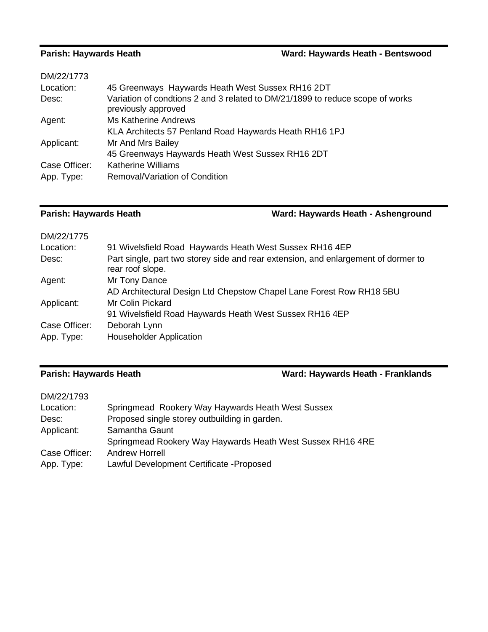## **Parish: Haywards Heath Ward: Haywards Heath - Bentswood**

| DM/22/1773    |                                                                                                      |
|---------------|------------------------------------------------------------------------------------------------------|
| Location:     | 45 Greenways Haywards Heath West Sussex RH16 2DT                                                     |
| Desc:         | Variation of condtions 2 and 3 related to DM/21/1899 to reduce scope of works<br>previously approved |
| Agent:        | <b>Ms Katherine Andrews</b>                                                                          |
|               | KLA Architects 57 Penland Road Haywards Heath RH16 1PJ                                               |
| Applicant:    | Mr And Mrs Bailey                                                                                    |
|               | 45 Greenways Haywards Heath West Sussex RH16 2DT                                                     |
| Case Officer: | <b>Katherine Williams</b>                                                                            |
| App. Type:    | Removal/Variation of Condition                                                                       |
|               |                                                                                                      |

# **Parish: Haywards Heath Ward: Haywards Heath - Ashenground**

| DM/22/1775    |                                                                                                        |
|---------------|--------------------------------------------------------------------------------------------------------|
| Location:     | 91 Wivelsfield Road Haywards Heath West Sussex RH16 4EP                                                |
| Desc:         | Part single, part two storey side and rear extension, and enlargement of dormer to<br>rear roof slope. |
| Agent:        | Mr Tony Dance                                                                                          |
|               | AD Architectural Design Ltd Chepstow Chapel Lane Forest Row RH18 5BU                                   |
| Applicant:    | Mr Colin Pickard                                                                                       |
|               | 91 Wivelsfield Road Haywards Heath West Sussex RH16 4EP                                                |
| Case Officer: | Deborah Lynn                                                                                           |
| App. Type:    | <b>Householder Application</b>                                                                         |

### **Parish: Haywards Heath Ward: Haywards Heath - Franklands**

| DM/22/1793    |                                                            |
|---------------|------------------------------------------------------------|
| Location:     | Springmead Rookery Way Haywards Heath West Sussex          |
| Desc:         | Proposed single storey outbuilding in garden.              |
| Applicant:    | Samantha Gaunt                                             |
|               | Springmead Rookery Way Haywards Heath West Sussex RH16 4RE |
| Case Officer: | <b>Andrew Horrell</b>                                      |
| App. Type:    | Lawful Development Certificate - Proposed                  |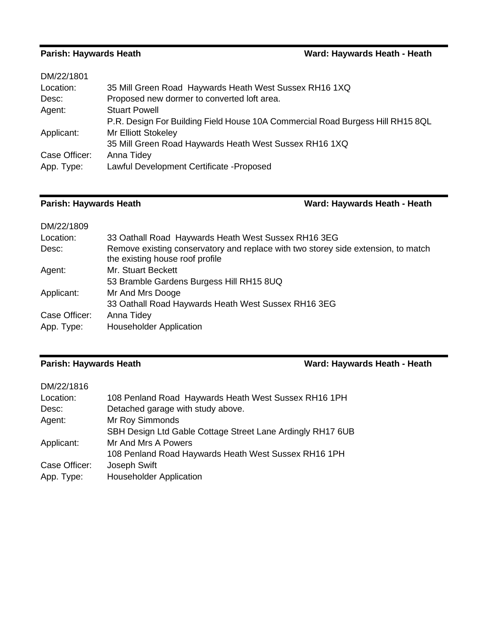| DM/22/1801    |                                                                                |
|---------------|--------------------------------------------------------------------------------|
| Location:     | 35 Mill Green Road Haywards Heath West Sussex RH16 1XQ                         |
| Desc:         | Proposed new dormer to converted loft area.                                    |
| Agent:        | <b>Stuart Powell</b>                                                           |
|               | P.R. Design For Building Field House 10A Commercial Road Burgess Hill RH15 8QL |
| Applicant:    | <b>Mr Elliott Stokeley</b>                                                     |
|               | 35 Mill Green Road Haywards Heath West Sussex RH16 1XQ                         |
| Case Officer: | Anna Tidey                                                                     |
| App. Type:    | Lawful Development Certificate - Proposed                                      |
|               |                                                                                |

## **Parish: Haywards Heath Ward: Haywards Heath - Heath**

| DM/22/1809    |                                                                                                                      |
|---------------|----------------------------------------------------------------------------------------------------------------------|
| Location:     | 33 Oathall Road Haywards Heath West Sussex RH16 3EG                                                                  |
| Desc:         | Remove existing conservatory and replace with two storey side extension, to match<br>the existing house roof profile |
| Agent:        | Mr. Stuart Beckett                                                                                                   |
|               | 53 Bramble Gardens Burgess Hill RH15 8UQ                                                                             |
| Applicant:    | Mr And Mrs Dooge                                                                                                     |
|               | 33 Oathall Road Haywards Heath West Sussex RH16 3EG                                                                  |
| Case Officer: | Anna Tidey                                                                                                           |
| App. Type:    | <b>Householder Application</b>                                                                                       |

## **Parish: Haywards Heath Ward: Haywards Heath - Heath**

| 108 Penland Road Haywards Heath West Sussex RH16 1PH       |
|------------------------------------------------------------|
| Detached garage with study above.                          |
| Mr Roy Simmonds                                            |
| SBH Design Ltd Gable Cottage Street Lane Ardingly RH17 6UB |
| Mr And Mrs A Powers                                        |
| 108 Penland Road Haywards Heath West Sussex RH16 1PH       |
| Joseph Swift                                               |
| <b>Householder Application</b>                             |
|                                                            |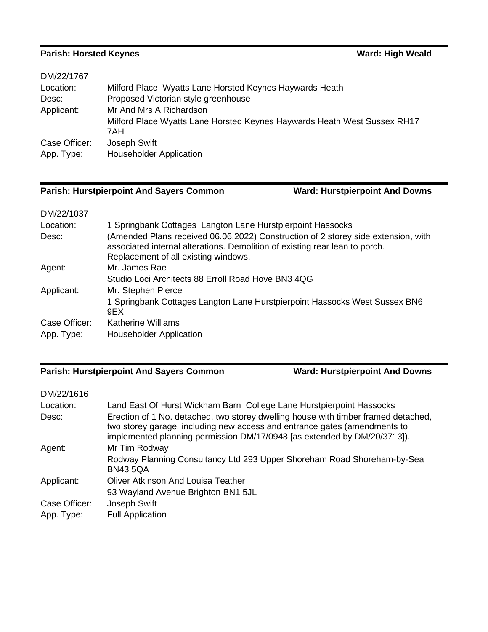## **Parish: Horsted Keynes Ward: High Weald**

| DM/22/1767    |                                                                          |
|---------------|--------------------------------------------------------------------------|
| Location:     | Milford Place Wyatts Lane Horsted Keynes Haywards Heath                  |
| Desc:         | Proposed Victorian style greenhouse                                      |
| Applicant:    | Mr And Mrs A Richardson                                                  |
|               | Milford Place Wyatts Lane Horsted Keynes Haywards Heath West Sussex RH17 |
|               | 7AH                                                                      |
| Case Officer: | Joseph Swift                                                             |
| App. Type:    | <b>Householder Application</b>                                           |
|               |                                                                          |

## **Parish: Hurstpierpoint And Sayers Common Ward: Hurstpierpoint And Downs**

| DM/22/1037    |                                                                                                                                                                                                          |
|---------------|----------------------------------------------------------------------------------------------------------------------------------------------------------------------------------------------------------|
| Location:     | 1 Springbank Cottages Langton Lane Hurstpierpoint Hassocks                                                                                                                                               |
| Desc:         | (Amended Plans received 06.06.2022) Construction of 2 storey side extension, with<br>associated internal alterations. Demolition of existing rear lean to porch.<br>Replacement of all existing windows. |
| Agent:        | Mr. James Rae                                                                                                                                                                                            |
|               | Studio Loci Architects 88 Erroll Road Hove BN3 4QG                                                                                                                                                       |
| Applicant:    | Mr. Stephen Pierce                                                                                                                                                                                       |
|               | 1 Springbank Cottages Langton Lane Hurstpierpoint Hassocks West Sussex BN6<br>9EX                                                                                                                        |
| Case Officer: | Katherine Williams                                                                                                                                                                                       |
| App. Type:    | <b>Householder Application</b>                                                                                                                                                                           |

## **Parish: Hurstpierpoint And Sayers Common Ward: Hurstpierpoint And Downs**

| DM/22/1616    |                                                                                                                                                                                                                                             |
|---------------|---------------------------------------------------------------------------------------------------------------------------------------------------------------------------------------------------------------------------------------------|
| Location:     | Land East Of Hurst Wickham Barn College Lane Hurstpierpoint Hassocks                                                                                                                                                                        |
| Desc:         | Erection of 1 No. detached, two storey dwelling house with timber framed detached,<br>two storey garage, including new access and entrance gates (amendments to<br>implemented planning permission DM/17/0948 [as extended by DM/20/3713]). |
| Agent:        | Mr Tim Rodway                                                                                                                                                                                                                               |
|               | Rodway Planning Consultancy Ltd 293 Upper Shoreham Road Shoreham-by-Sea<br><b>BN43 5QA</b>                                                                                                                                                  |
| Applicant:    | <b>Oliver Atkinson And Louisa Teather</b>                                                                                                                                                                                                   |
|               | 93 Wayland Avenue Brighton BN1 5JL                                                                                                                                                                                                          |
| Case Officer: | Joseph Swift                                                                                                                                                                                                                                |
| App. Type:    | <b>Full Application</b>                                                                                                                                                                                                                     |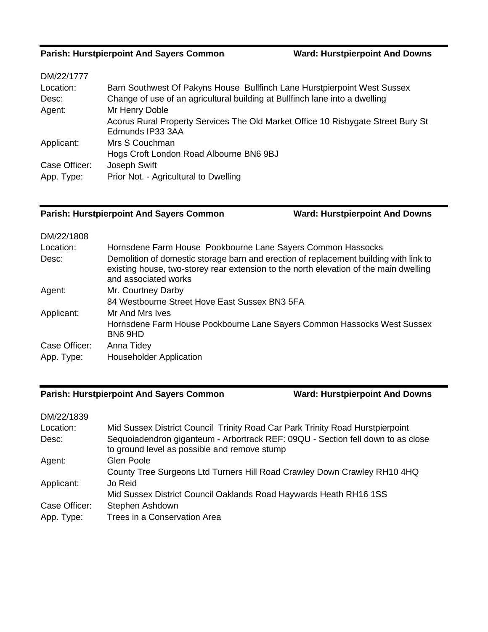### **Parish: Hurstpierpoint And Sayers Common**

| DM/22/1777    |                                                                                  |
|---------------|----------------------------------------------------------------------------------|
| Location:     | Barn Southwest Of Pakyns House Bullfinch Lane Hurstpierpoint West Sussex         |
| Desc:         | Change of use of an agricultural building at Bullfinch lane into a dwelling      |
| Agent:        | Mr Henry Doble                                                                   |
|               | Acorus Rural Property Services The Old Market Office 10 Risbygate Street Bury St |
|               | Edmunds IP33 3AA                                                                 |
| Applicant:    | Mrs S Couchman                                                                   |
|               | Hogs Croft London Road Albourne BN6 9BJ                                          |
| Case Officer: | Joseph Swift                                                                     |
| App. Type:    | Prior Not. - Agricultural to Dwelling                                            |

### **Parish: Hurstpierpoint And Sayers Common Ward: Hurstpierpoint And Downs**

| DM/22/1808    |                                                                                                                                                                                                        |
|---------------|--------------------------------------------------------------------------------------------------------------------------------------------------------------------------------------------------------|
| Location:     | Hornsdene Farm House Pookbourne Lane Sayers Common Hassocks                                                                                                                                            |
| Desc:         | Demolition of domestic storage barn and erection of replacement building with link to<br>existing house, two-storey rear extension to the north elevation of the main dwelling<br>and associated works |
| Agent:        | Mr. Courtney Darby                                                                                                                                                                                     |
|               | 84 Westbourne Street Hove East Sussex BN3 5FA                                                                                                                                                          |
| Applicant:    | Mr And Mrs Ives                                                                                                                                                                                        |
|               | Hornsdene Farm House Pookbourne Lane Sayers Common Hassocks West Sussex<br>BN6 9HD                                                                                                                     |
| Case Officer: | Anna Tidey                                                                                                                                                                                             |
| App. Type:    | <b>Householder Application</b>                                                                                                                                                                         |

### **Parish: Hurstpierpoint And Sayers Common Ward: Hurstpierpoint And Downs**

### DM/22/1839 Location: Mid Sussex District Council Trinity Road Car Park Trinity Road Hurstpierpoint Desc: Sequoiadendron giganteum - Arbortrack REF: 09QU - Section fell down to as close to ground level as possible and remove stump Agent: Glen Poole County Tree Surgeons Ltd Turners Hill Road Crawley Down Crawley RH10 4HQ Applicant: Jo Reid Mid Sussex District Council Oaklands Road Haywards Heath RH16 1SS Case Officer: Stephen Ashdown App. Type: Trees in a Conservation Area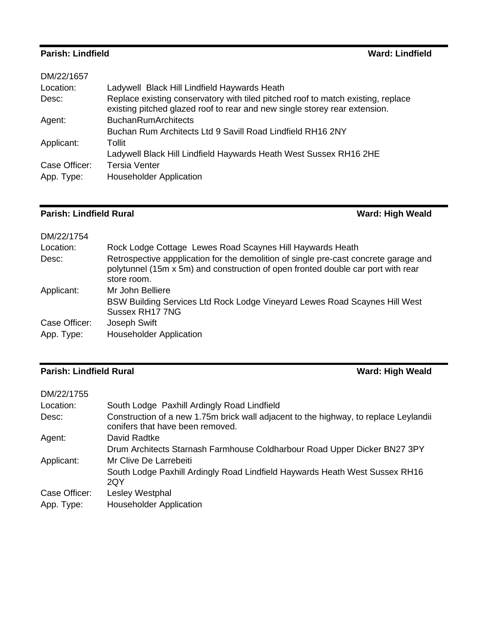## **Parish: Lindfield Ward: Lindfield**

| DM/22/1657    |                                                                                                                                                                |
|---------------|----------------------------------------------------------------------------------------------------------------------------------------------------------------|
| Location:     | Ladywell Black Hill Lindfield Haywards Heath                                                                                                                   |
| Desc:         | Replace existing conservatory with tiled pitched roof to match existing, replace<br>existing pitched glazed roof to rear and new single storey rear extension. |
| Agent:        | <b>BuchanRumArchitects</b>                                                                                                                                     |
|               | Buchan Rum Architects Ltd 9 Savill Road Lindfield RH16 2NY                                                                                                     |
| Applicant:    | Tollit                                                                                                                                                         |
|               | Ladywell Black Hill Lindfield Haywards Heath West Sussex RH16 2HE                                                                                              |
| Case Officer: | <b>Tersia Venter</b>                                                                                                                                           |
| App. Type:    | <b>Householder Application</b>                                                                                                                                 |
|               |                                                                                                                                                                |

# **Parish: Lindfield Rural Ward: High Weald Ward: High Weald**

| Rock Lodge Cottage Lewes Road Scaynes Hill Haywards Heath                                                                                                                               |
|-----------------------------------------------------------------------------------------------------------------------------------------------------------------------------------------|
| Retrospective appplication for the demolition of single pre-cast concrete garage and<br>polytunnel (15m x 5m) and construction of open fronted double car port with rear<br>store room. |
| Mr John Belliere                                                                                                                                                                        |
| BSW Building Services Ltd Rock Lodge Vineyard Lewes Road Scaynes Hill West<br>Sussex RH17 7NG                                                                                           |
| Joseph Swift                                                                                                                                                                            |
| <b>Householder Application</b>                                                                                                                                                          |
|                                                                                                                                                                                         |

# **Parish: Lindfield Rural Ward: High Weald**

| DM/22/1755    |                                                                                                                          |
|---------------|--------------------------------------------------------------------------------------------------------------------------|
| Location:     | South Lodge Paxhill Ardingly Road Lindfield                                                                              |
| Desc:         | Construction of a new 1.75m brick wall adjacent to the highway, to replace Leylandii<br>conifers that have been removed. |
| Agent:        | David Radtke                                                                                                             |
|               | Drum Architects Starnash Farmhouse Coldharbour Road Upper Dicker BN27 3PY                                                |
| Applicant:    | Mr Clive De Larrebeiti                                                                                                   |
|               | South Lodge Paxhill Ardingly Road Lindfield Haywards Heath West Sussex RH16<br>2QY                                       |
| Case Officer: | Lesley Westphal                                                                                                          |
| App. Type:    | <b>Householder Application</b>                                                                                           |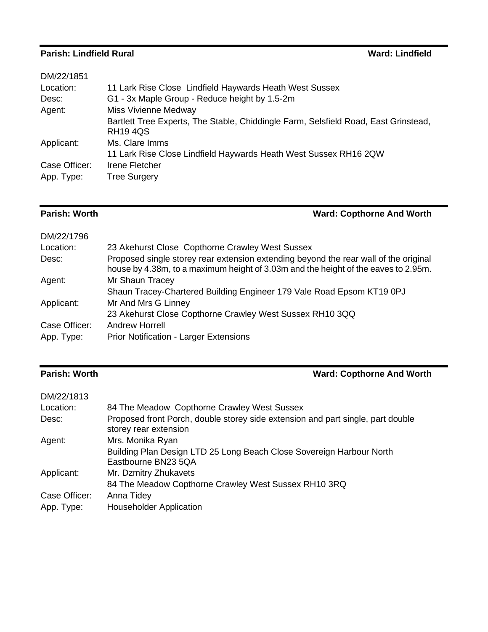## **Parish: Lindfield Rural Ward: Lindfield**

| 11 Lark Rise Close Lindfield Haywards Heath West Sussex                                               |
|-------------------------------------------------------------------------------------------------------|
| G1 - 3x Maple Group - Reduce height by 1.5-2m                                                         |
| <b>Miss Vivienne Medway</b>                                                                           |
| Bartlett Tree Experts, The Stable, Chiddingle Farm, Selsfield Road, East Grinstead,<br><b>RH194QS</b> |
| Ms. Clare Imms                                                                                        |
| 11 Lark Rise Close Lindfield Haywards Heath West Sussex RH16 2QW                                      |
| <b>Irene Fletcher</b>                                                                                 |
| <b>Tree Surgery</b>                                                                                   |
|                                                                                                       |

**Parish: Worth Ward: Copthorne And Worth** 

| DM/22/1796    |                                                                                                                                                                            |
|---------------|----------------------------------------------------------------------------------------------------------------------------------------------------------------------------|
| Location:     | 23 Akehurst Close Copthorne Crawley West Sussex                                                                                                                            |
| Desc:         | Proposed single storey rear extension extending beyond the rear wall of the original<br>house by 4.38m, to a maximum height of 3.03m and the height of the eaves to 2.95m. |
| Agent:        | Mr Shaun Tracey                                                                                                                                                            |
|               | Shaun Tracey-Chartered Building Engineer 179 Vale Road Epsom KT19 0PJ                                                                                                      |
| Applicant:    | Mr And Mrs G Linney                                                                                                                                                        |
|               | 23 Akehurst Close Copthorne Crawley West Sussex RH10 3QQ                                                                                                                   |
| Case Officer: | <b>Andrew Horrell</b>                                                                                                                                                      |
| App. Type:    | Prior Notification - Larger Extensions                                                                                                                                     |
|               |                                                                                                                                                                            |

**Parish: Worth Ward: Copthorne And Worth** 

| DM/22/1813    |                                                                                                          |
|---------------|----------------------------------------------------------------------------------------------------------|
| Location:     | 84 The Meadow Copthorne Crawley West Sussex                                                              |
| Desc:         | Proposed front Porch, double storey side extension and part single, part double<br>storey rear extension |
| Agent:        | Mrs. Monika Ryan                                                                                         |
|               | Building Plan Design LTD 25 Long Beach Close Sovereign Harbour North<br>Eastbourne BN23 5QA              |
| Applicant:    | Mr. Dzmitry Zhukavets                                                                                    |
|               | 84 The Meadow Copthorne Crawley West Sussex RH10 3RQ                                                     |
| Case Officer: | Anna Tidey                                                                                               |
| App. Type:    | <b>Householder Application</b>                                                                           |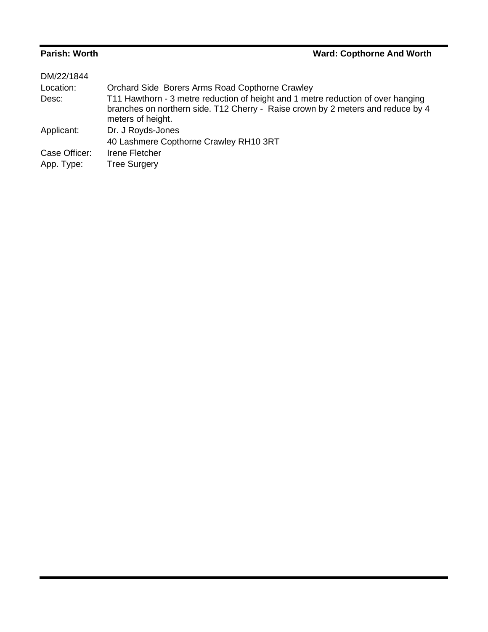## **Parish: Worth Ward: Copthorne And Worth**

| Orchard Side Borers Arms Road Copthorne Crawley                                                                                                                                          |
|------------------------------------------------------------------------------------------------------------------------------------------------------------------------------------------|
| T11 Hawthorn - 3 metre reduction of height and 1 metre reduction of over hanging<br>branches on northern side. T12 Cherry - Raise crown by 2 meters and reduce by 4<br>meters of height. |
| Dr. J Royds-Jones<br>40 Lashmere Copthorne Crawley RH10 3RT                                                                                                                              |
| Irene Fletcher                                                                                                                                                                           |
| <b>Tree Surgery</b>                                                                                                                                                                      |
|                                                                                                                                                                                          |